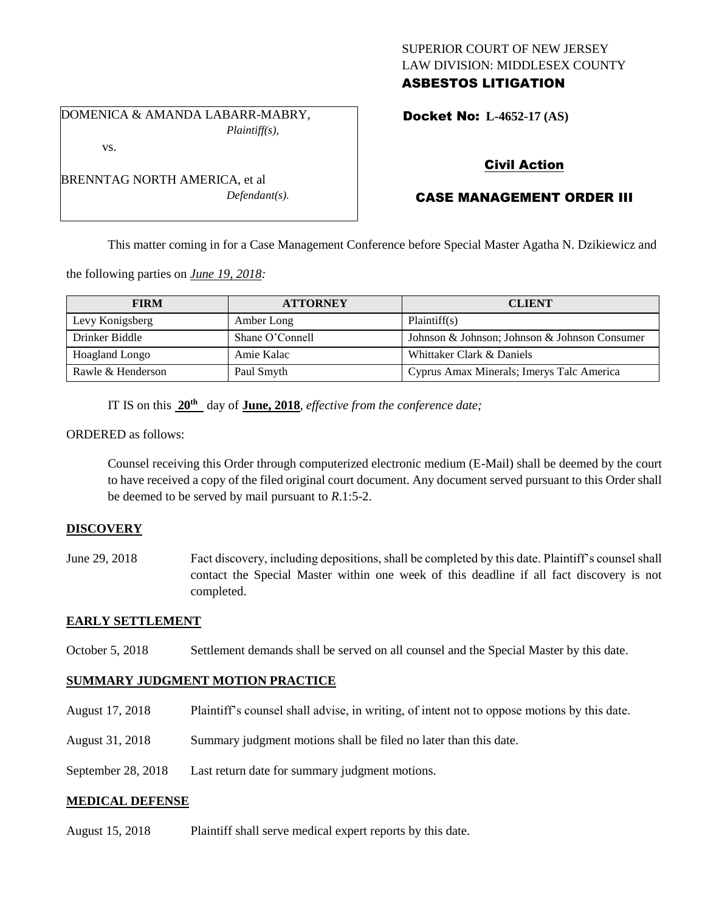### SUPERIOR COURT OF NEW JERSEY LAW DIVISION: MIDDLESEX COUNTY ASBESTOS LITIGATION

DOMENICA & AMANDA LABARR-MABRY, *Plaintiff(s),* vs.

*Defendant(s).*

Docket No: **L-4652-17 (AS)** 

# Civil Action

# CASE MANAGEMENT ORDER III

This matter coming in for a Case Management Conference before Special Master Agatha N. Dzikiewicz and

the following parties on *June 19, 2018:*

BRENNTAG NORTH AMERICA, et al

| <b>FIRM</b>       | <b>ATTORNEY</b> | <b>CLIENT</b>                                 |
|-------------------|-----------------|-----------------------------------------------|
| Levy Konigsberg   | Amber Long      | Plaintiff(s)                                  |
| Drinker Biddle    | Shane O'Connell | Johnson & Johnson; Johnson & Johnson Consumer |
| Hoagland Longo    | Amie Kalac      | Whittaker Clark & Daniels                     |
| Rawle & Henderson | Paul Smyth      | Cyprus Amax Minerals; Imerys Talc America     |

IT IS on this **20th** day of **June, 2018**, *effective from the conference date;*

ORDERED as follows:

Counsel receiving this Order through computerized electronic medium (E-Mail) shall be deemed by the court to have received a copy of the filed original court document. Any document served pursuant to this Order shall be deemed to be served by mail pursuant to *R*.1:5-2.

### **DISCOVERY**

June 29, 2018 Fact discovery, including depositions, shall be completed by this date. Plaintiff's counsel shall contact the Special Master within one week of this deadline if all fact discovery is not completed.

### **EARLY SETTLEMENT**

October 5, 2018 Settlement demands shall be served on all counsel and the Special Master by this date.

### **SUMMARY JUDGMENT MOTION PRACTICE**

- August 17, 2018 Plaintiff's counsel shall advise, in writing, of intent not to oppose motions by this date.
- August 31, 2018 Summary judgment motions shall be filed no later than this date.
- September 28, 2018 Last return date for summary judgment motions.

### **MEDICAL DEFENSE**

August 15, 2018 Plaintiff shall serve medical expert reports by this date.